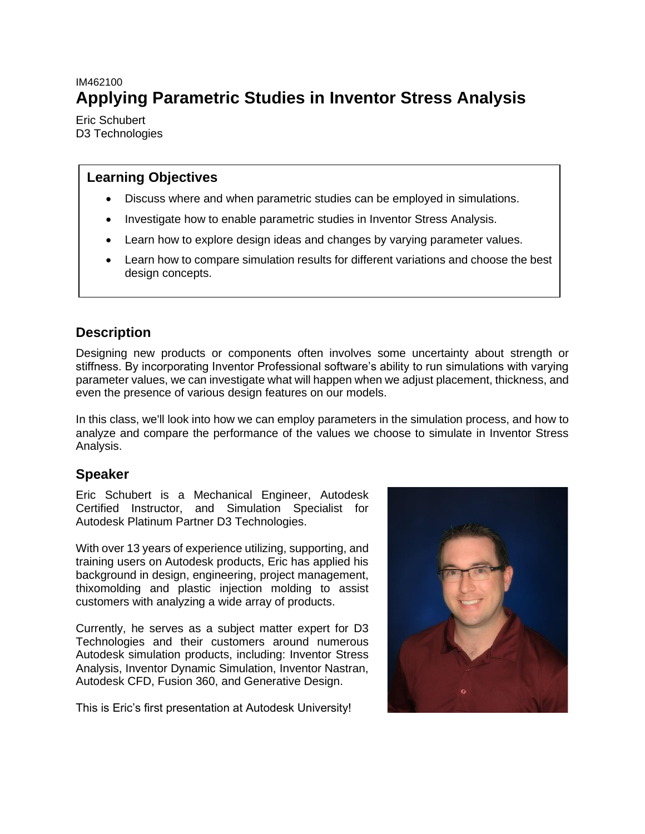# <span id="page-0-0"></span>IM462100 **Applying Parametric Studies in Inventor Stress Analysis**

Eric Schubert D3 Technologies

## **Learning Objectives**

- Discuss where and when parametric studies can be employed in simulations.
- Investigate how to enable parametric studies in Inventor Stress Analysis.
- Learn how to explore design ideas and changes by varying parameter values.
- Learn how to compare simulation results for different variations and choose the best design concepts.

# <span id="page-0-1"></span>**Description**

Designing new products or components often involves some uncertainty about strength or stiffness. By incorporating Inventor Professional software's ability to run simulations with varying parameter values, we can investigate what will happen when we adjust placement, thickness, and even the presence of various design features on our models.

In this class, we'll look into how we can employ parameters in the simulation process, and how to analyze and compare the performance of the values we choose to simulate in Inventor Stress Analysis.

# <span id="page-0-2"></span>**Speaker**

Eric Schubert is a Mechanical Engineer, Autodesk Certified Instructor, and Simulation Specialist for Autodesk Platinum Partner D3 Technologies.

With over 13 years of experience utilizing, supporting, and training users on Autodesk products, Eric has applied his background in design, engineering, project management, thixomolding and plastic injection molding to assist customers with analyzing a wide array of products.

Currently, he serves as a subject matter expert for D3 Technologies and their customers around numerous Autodesk simulation products, including: Inventor Stress Analysis, Inventor Dynamic Simulation, Inventor Nastran, Autodesk CFD, Fusion 360, and Generative Design.

This is Eric's first presentation at Autodesk University!

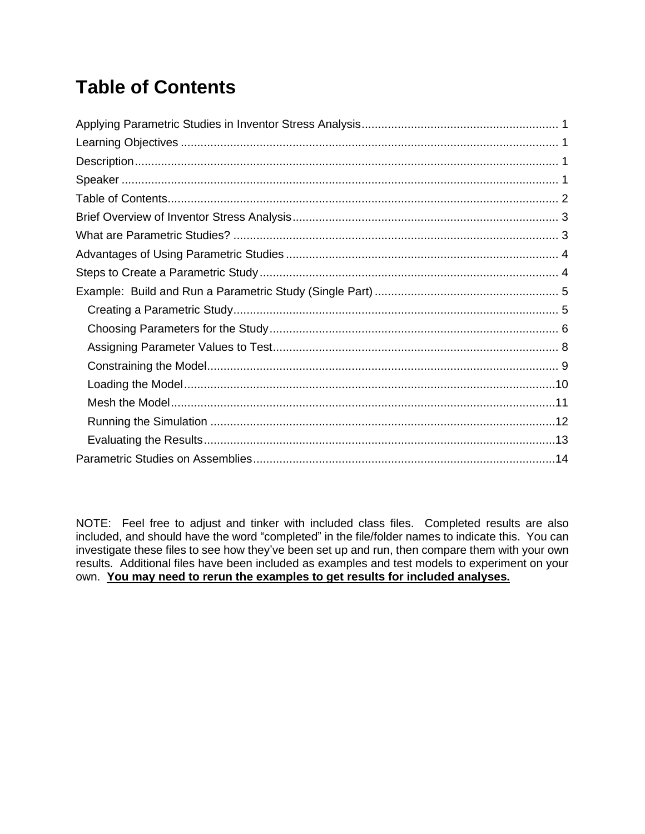# <span id="page-1-0"></span>**Table of Contents**

NOTE: Feel free to adjust and tinker with included class files. Completed results are also included, and should have the word "completed" in the file/folder names to indicate this. You can investigate these files to see how they've been set up and run, then compare them with your own results. Additional files have been included as examples and test models to experiment on your own. **You may need to rerun the examples to get results for included analyses.**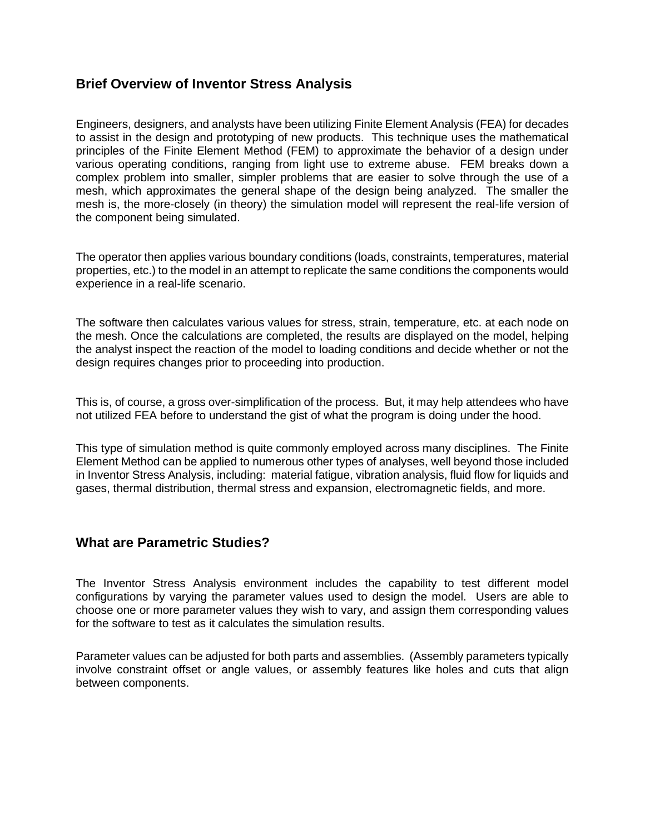## <span id="page-2-0"></span>**Brief Overview of Inventor Stress Analysis**

Engineers, designers, and analysts have been utilizing Finite Element Analysis (FEA) for decades to assist in the design and prototyping of new products. This technique uses the mathematical principles of the Finite Element Method (FEM) to approximate the behavior of a design under various operating conditions, ranging from light use to extreme abuse. FEM breaks down a complex problem into smaller, simpler problems that are easier to solve through the use of a mesh, which approximates the general shape of the design being analyzed. The smaller the mesh is, the more-closely (in theory) the simulation model will represent the real-life version of the component being simulated.

The operator then applies various boundary conditions (loads, constraints, temperatures, material properties, etc.) to the model in an attempt to replicate the same conditions the components would experience in a real-life scenario.

The software then calculates various values for stress, strain, temperature, etc. at each node on the mesh. Once the calculations are completed, the results are displayed on the model, helping the analyst inspect the reaction of the model to loading conditions and decide whether or not the design requires changes prior to proceeding into production.

This is, of course, a gross over-simplification of the process. But, it may help attendees who have not utilized FEA before to understand the gist of what the program is doing under the hood.

This type of simulation method is quite commonly employed across many disciplines. The Finite Element Method can be applied to numerous other types of analyses, well beyond those included in Inventor Stress Analysis, including: material fatigue, vibration analysis, fluid flow for liquids and gases, thermal distribution, thermal stress and expansion, electromagnetic fields, and more.

## <span id="page-2-1"></span>**What are Parametric Studies?**

The Inventor Stress Analysis environment includes the capability to test different model configurations by varying the parameter values used to design the model. Users are able to choose one or more parameter values they wish to vary, and assign them corresponding values for the software to test as it calculates the simulation results.

Parameter values can be adjusted for both parts and assemblies. (Assembly parameters typically involve constraint offset or angle values, or assembly features like holes and cuts that align between components.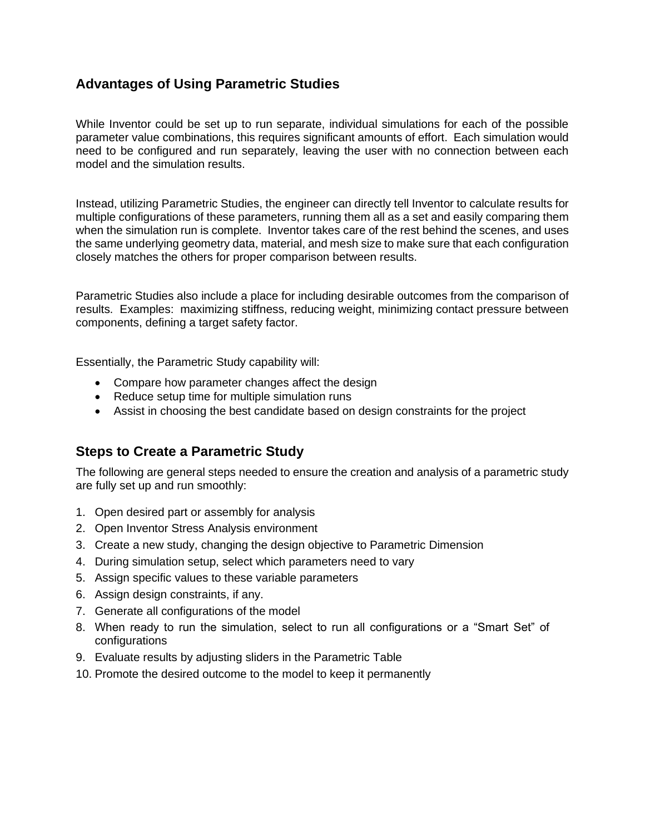# <span id="page-3-0"></span>**Advantages of Using Parametric Studies**

While Inventor could be set up to run separate, individual simulations for each of the possible parameter value combinations, this requires significant amounts of effort. Each simulation would need to be configured and run separately, leaving the user with no connection between each model and the simulation results.

Instead, utilizing Parametric Studies, the engineer can directly tell Inventor to calculate results for multiple configurations of these parameters, running them all as a set and easily comparing them when the simulation run is complete. Inventor takes care of the rest behind the scenes, and uses the same underlying geometry data, material, and mesh size to make sure that each configuration closely matches the others for proper comparison between results.

Parametric Studies also include a place for including desirable outcomes from the comparison of results. Examples: maximizing stiffness, reducing weight, minimizing contact pressure between components, defining a target safety factor.

Essentially, the Parametric Study capability will:

- Compare how parameter changes affect the design
- Reduce setup time for multiple simulation runs
- Assist in choosing the best candidate based on design constraints for the project

# <span id="page-3-1"></span>**Steps to Create a Parametric Study**

The following are general steps needed to ensure the creation and analysis of a parametric study are fully set up and run smoothly:

- 1. Open desired part or assembly for analysis
- 2. Open Inventor Stress Analysis environment
- 3. Create a new study, changing the design objective to Parametric Dimension
- 4. During simulation setup, select which parameters need to vary
- 5. Assign specific values to these variable parameters
- 6. Assign design constraints, if any.
- 7. Generate all configurations of the model
- 8. When ready to run the simulation, select to run all configurations or a "Smart Set" of configurations
- 9. Evaluate results by adjusting sliders in the Parametric Table
- 10. Promote the desired outcome to the model to keep it permanently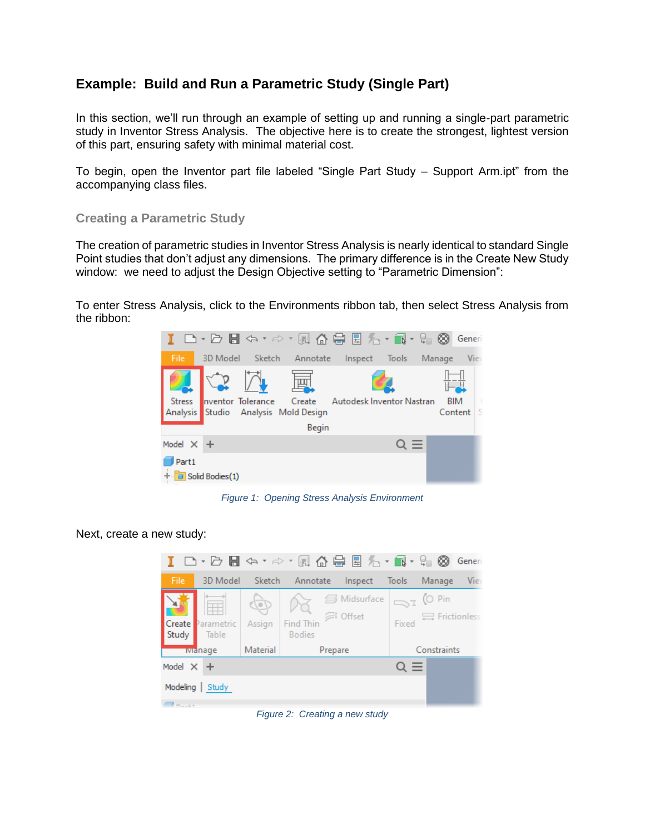# <span id="page-4-0"></span>**Example: Build and Run a Parametric Study (Single Part)**

In this section, we'll run through an example of setting up and running a single-part parametric study in Inventor Stress Analysis. The objective here is to create the strongest, lightest version of this part, ensuring safety with minimal material cost.

To begin, open the Inventor part file labeled "Single Part Study – Support Arm.ipt" from the accompanying class files.

#### <span id="page-4-1"></span>**Creating a Parametric Study**

The creation of parametric studies in Inventor Stress Analysis is nearly identical to standard Single Point studies that don't adjust any dimensions. The primary difference is in the Create New Study window: we need to adjust the Design Objective setting to "Parametric Dimension":

To enter Stress Analysis, click to the Environments ribbon tab, then select Stress Analysis from the ribbon:



*Figure 1: Opening Stress Analysis Environment*

#### Next, create a new study:



*Figure 2: Creating a new study*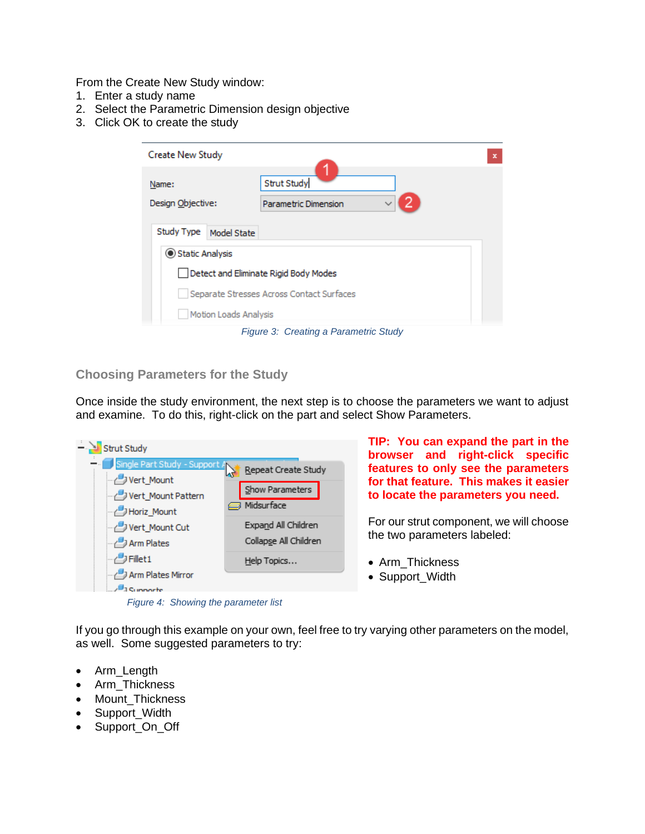From the Create New Study window:

- 1. Enter a study name
- 2. Select the Parametric Dimension design objective
- 3. Click OK to create the study

| <b>Create New Study</b>               |                                                   | $\mathbf x$ |
|---------------------------------------|---------------------------------------------------|-------------|
| Name:<br>Design Objective:            | <b>Strut Study</b><br><b>Parametric Dimension</b> |             |
| Study Type<br>Model State             |                                                   |             |
| Static Analysis                       |                                                   |             |
| Detect and Eliminate Rigid Body Modes |                                                   |             |
|                                       | Separate Stresses Across Contact Surfaces         |             |
| Motion Loads Analysis                 |                                                   |             |
|                                       |                                                   |             |

*Figure 3: Creating a Parametric Study*

#### <span id="page-5-0"></span>**Choosing Parameters for the Study**

Once inside the study environment, the next step is to choose the parameters we want to adjust and examine. To do this, right-click on the part and select Show Parameters.



**TIP: You can expand the part in the browser and right-click specific features to only see the parameters for that feature. This makes it easier to locate the parameters you need.**

For our strut component, we will choose the two parameters labeled:

- Arm\_Thickness
- 

If you go through this example on your own, feel free to try varying other parameters on the model, as well. Some suggested parameters to try:

- Arm\_Length
- Arm\_Thickness
- Mount Thickness
- Support Width
- Support\_On\_Off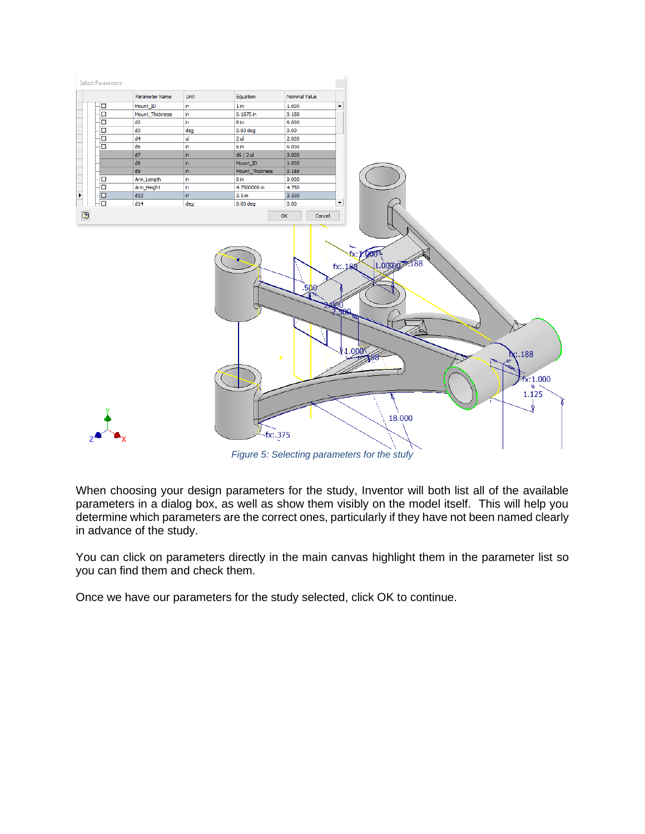

*Figure 5: Selecting parameters for the stufy*

When choosing your design parameters for the study, Inventor will both list all of the available parameters in a dialog box, as well as show them visibly on the model itself. This will help you determine which parameters are the correct ones, particularly if they have not been named clearly in advance of the study.

You can click on parameters directly in the main canvas highlight them in the parameter list so you can find them and check them.

Once we have our parameters for the study selected, click OK to continue.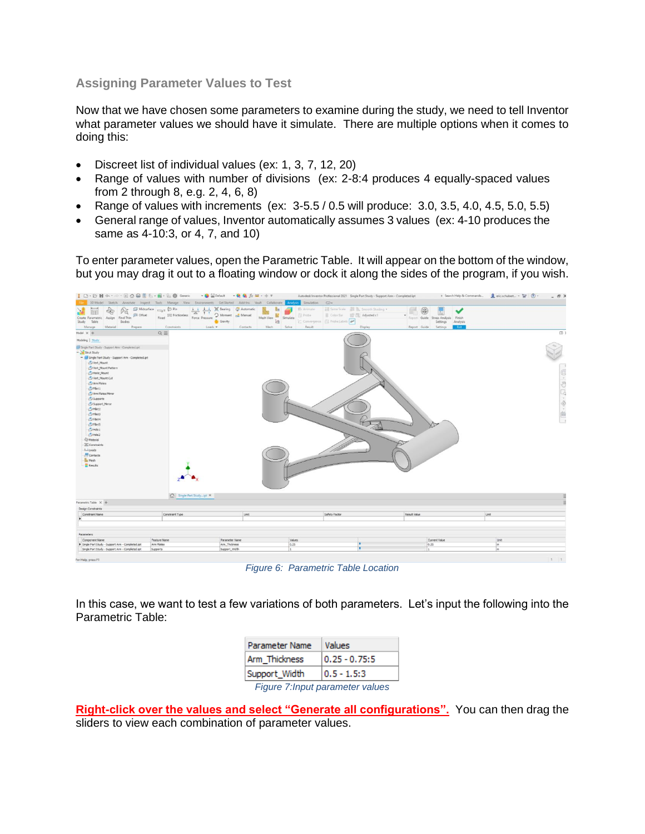### <span id="page-7-0"></span>**Assigning Parameter Values to Test**

Now that we have chosen some parameters to examine during the study, we need to tell Inventor what parameter values we should have it simulate. There are multiple options when it comes to doing this:

- Discreet list of individual values (ex: 1, 3, 7, 12, 20)
- Range of values with number of divisions (ex: 2-8:4 produces 4 equally-spaced values from 2 through 8, e.g. 2, 4, 6, 8)
- Range of values with increments (ex:  $3-5.5/0.5$  will produce:  $3.0, 3.5, 4.0, 4.5, 5.0, 5.5$ )
- General range of values, Inventor automatically assumes 3 values (ex: 4-10 produces the same as 4-10:3, or 4, 7, and 10)

To enter parameter values, open the Parametric Table. It will appear on the bottom of the window, but you may drag it out to a floating window or dock it along the sides of the program, if you wish.



*Figure 6: Parametric Table Location*

In this case, we want to test a few variations of both parameters. Let's input the following into the Parametric Table:

|                                  | <b>Parameter Name</b> | Values          |  |  |
|----------------------------------|-----------------------|-----------------|--|--|
|                                  | Arm Thickness         | $0.25 - 0.75:5$ |  |  |
|                                  | Support_Width         | $0.5 - 1.5:3$   |  |  |
| Figure 7: Input parameter values |                       |                 |  |  |

**Right-click over the values and select "Generate all configurations".** You can then drag the sliders to view each combination of parameter values.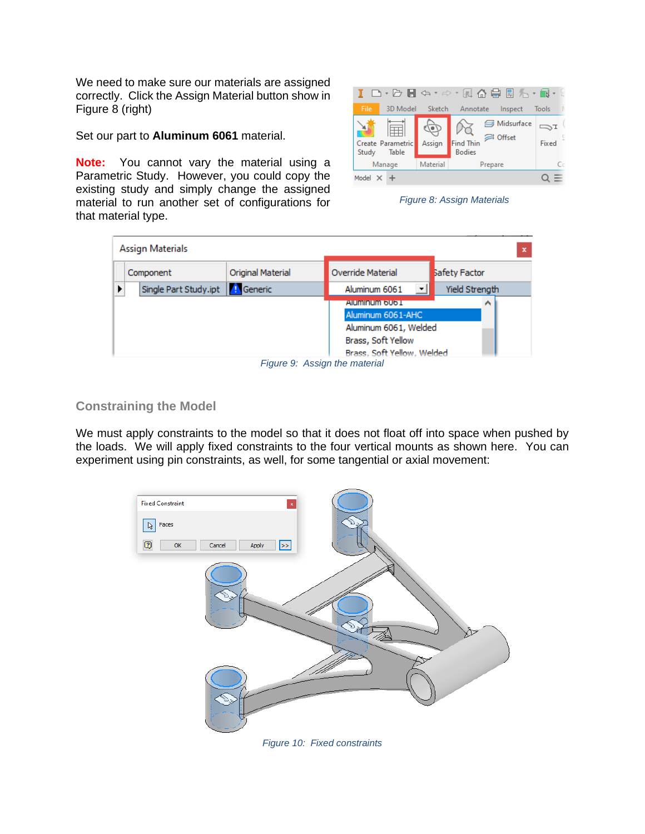We need to make sure our materials are assigned correctly. Click the Assign Material button show in Figure 8 (right)

Set our part to **Aluminum 6061** material.

**Note:** You cannot vary the material using a Parametric Study. However, you could copy the existing study and simply change the assigned material to run another set of configurations for that material type.



*Figure 8: Assign Materials*

| Assign Materials      |                   |                               |                |
|-----------------------|-------------------|-------------------------------|----------------|
| Component             | Original Material | <b>Override Material</b>      | Safety Factor  |
| Single Part Study.ipt | <b>A</b> Generic  | Aluminum 6061                 | Yield Strength |
|                       |                   | Aluminum 6061                 | ́              |
|                       |                   | Aluminum 6061-AHC             |                |
|                       |                   | Aluminum 6061, Welded         |                |
|                       |                   | Brass, Soft Yellow            |                |
|                       |                   | Brass, Soft Yellow, Welded    |                |
|                       |                   | Figure 9: Assign the material |                |

#### <span id="page-8-0"></span>**Constraining the Model**

We must apply constraints to the model so that it does not float off into space when pushed by the loads. We will apply fixed constraints to the four vertical mounts as shown here. You can experiment using pin constraints, as well, for some tangential or axial movement:

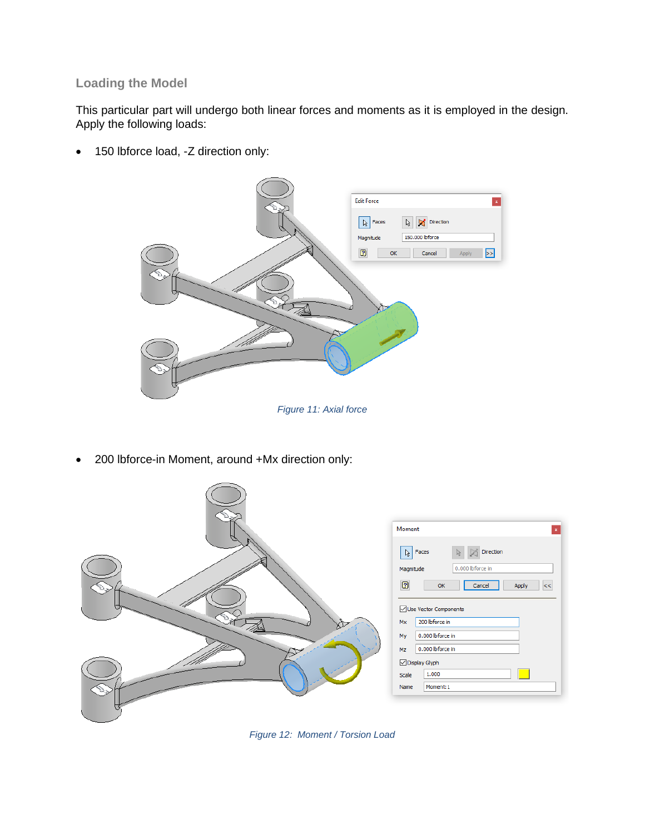## <span id="page-9-0"></span>**Loading the Model**

This particular part will undergo both linear forces and moments as it is employed in the design. Apply the following loads:

• 150 lbforce load, -Z direction only:



• 200 lbforce-in Moment, around +Mx direction only:



*Figure 12: Moment / Torsion Load*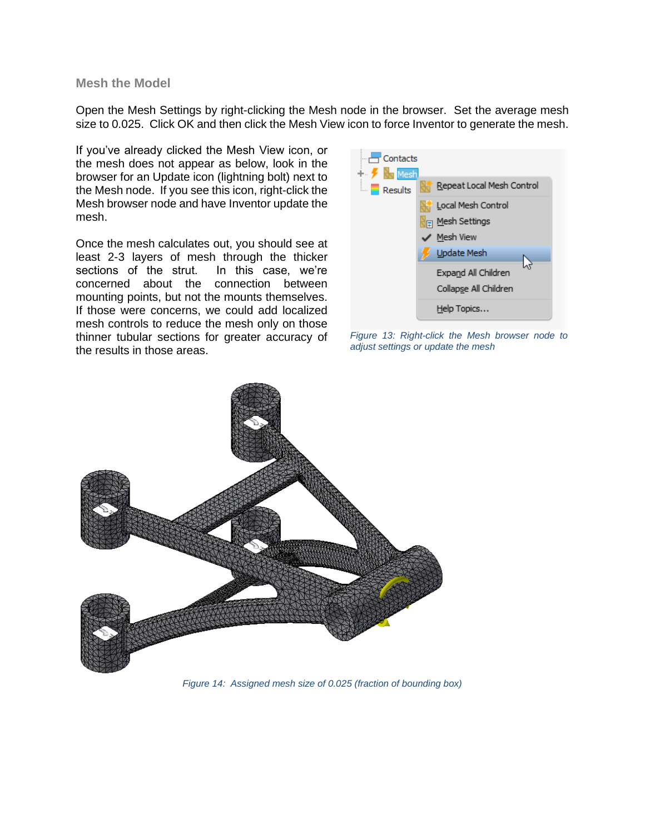<span id="page-10-0"></span>**Mesh the Model**

Open the Mesh Settings by right-clicking the Mesh node in the browser. Set the average mesh size to 0.025. Click OK and then click the Mesh View icon to force Inventor to generate the mesh.

If you've already clicked the Mesh View icon, or the mesh does not appear as below, look in the browser for an Update icon (lightning bolt) next to the Mesh node. If you see this icon, right-click the Mesh browser node and have Inventor update the mesh.

Once the mesh calculates out, you should see at least 2-3 layers of mesh through the thicker sections of the strut. In this case, we're concerned about the connection between mounting points, but not the mounts themselves. If those were concerns, we could add localized mesh controls to reduce the mesh only on those thinner tubular sections for greater accuracy of the results in those areas.



*Figure 13: Right-click the Mesh browser node to adjust settings or update the mesh*

<span id="page-10-1"></span>

*Figure 14: Assigned mesh size of 0.025 (fraction of bounding box)*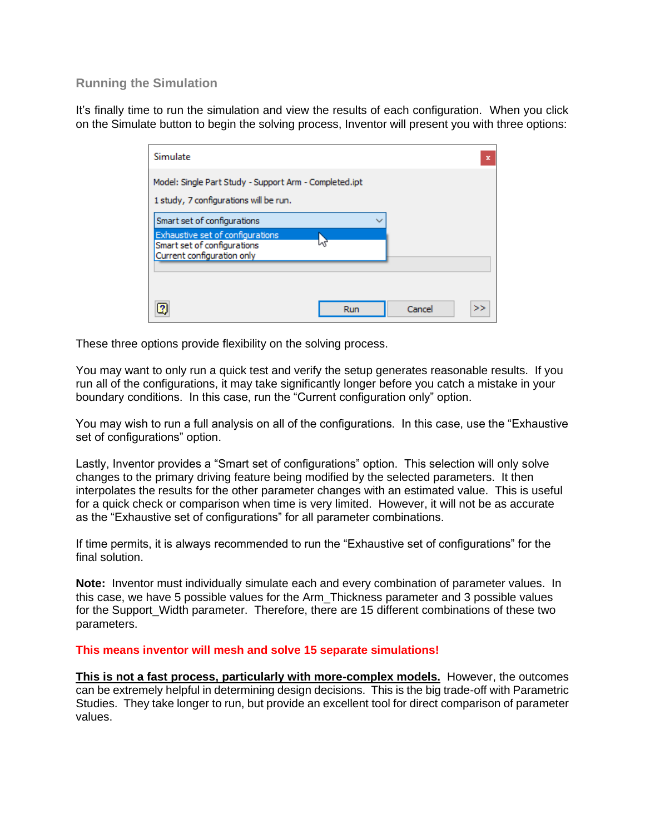## **Running the Simulation**

It's finally time to run the simulation and view the results of each configuration. When you click on the Simulate button to begin the solving process, Inventor will present you with three options:

| Simulate                                                                                                                     |     |        | $\mathbf x$ |
|------------------------------------------------------------------------------------------------------------------------------|-----|--------|-------------|
| Model: Single Part Study - Support Arm - Completed.ipt<br>1 study, 7 configurations will be run.                             |     |        |             |
| Smart set of configurations<br>Exhaustive set of configurations<br>Smart set of configurations<br>Current configuration only | lл  |        |             |
|                                                                                                                              | Run | Cancel | >>          |

These three options provide flexibility on the solving process.

You may want to only run a quick test and verify the setup generates reasonable results. If you run all of the configurations, it may take significantly longer before you catch a mistake in your boundary conditions. In this case, run the "Current configuration only" option.

You may wish to run a full analysis on all of the configurations. In this case, use the "Exhaustive set of configurations" option.

Lastly, Inventor provides a "Smart set of configurations" option. This selection will only solve changes to the primary driving feature being modified by the selected parameters. It then interpolates the results for the other parameter changes with an estimated value. This is useful for a quick check or comparison when time is very limited. However, it will not be as accurate as the "Exhaustive set of configurations" for all parameter combinations.

If time permits, it is always recommended to run the "Exhaustive set of configurations" for the final solution.

**Note:** Inventor must individually simulate each and every combination of parameter values. In this case, we have 5 possible values for the Arm\_Thickness parameter and 3 possible values for the Support Width parameter. Therefore, there are 15 different combinations of these two parameters.

**This means inventor will mesh and solve 15 separate simulations!**

**This is not a fast process, particularly with more-complex models.** However, the outcomes can be extremely helpful in determining design decisions. This is the big trade-off with Parametric Studies. They take longer to run, but provide an excellent tool for direct comparison of parameter values.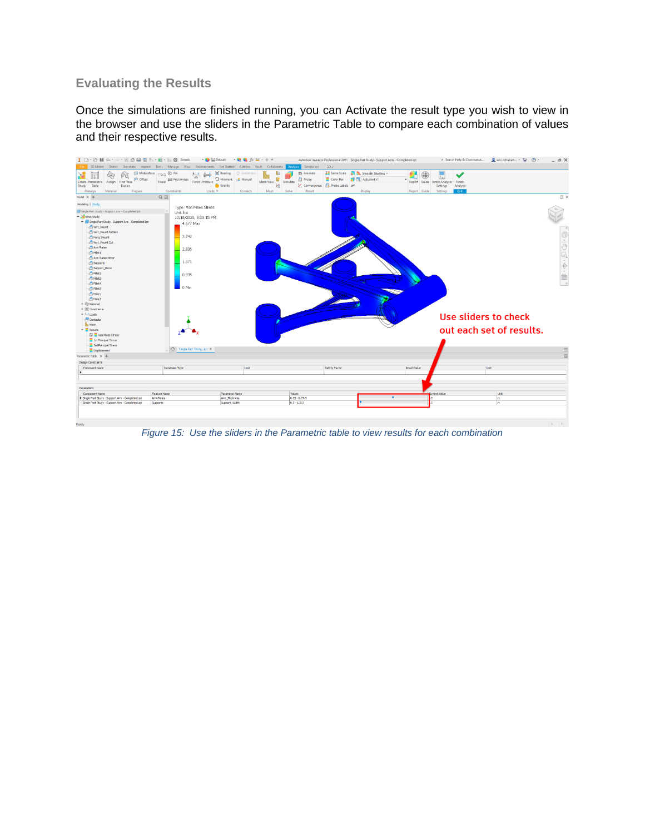# <span id="page-12-0"></span>**Evaluating the Results**

Once the simulations are finished running, you can Activate the result type you wish to view in the browser and use the sliders in the Parametric Table to compare each combination of values and their respective results.



*Figure 15: Use the sliders in the Parametric table to view results for each combination*